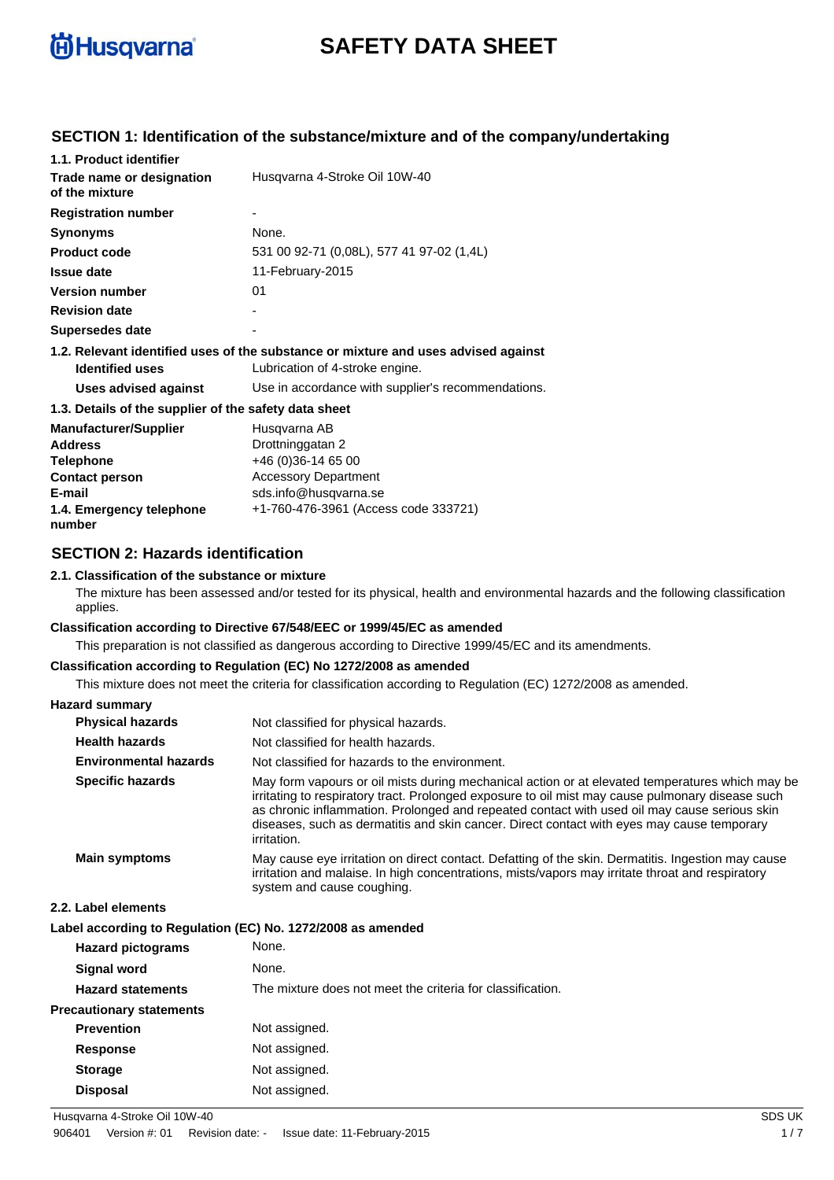

# **SAFETY DATA SHEET**

### **SECTION 1: Identification of the substance/mixture and of the company/undertaking**

| 1.1. Product identifier                               |                                                                                    |
|-------------------------------------------------------|------------------------------------------------------------------------------------|
| Trade name or designation<br>of the mixture           | Husqvarna 4-Stroke Oil 10W-40                                                      |
| <b>Registration number</b>                            |                                                                                    |
| <b>Synonyms</b>                                       | None.                                                                              |
| <b>Product code</b>                                   | 531 00 92-71 (0,08L), 577 41 97-02 (1,4L)                                          |
| Issue date                                            | 11-February-2015                                                                   |
| <b>Version number</b>                                 | 01                                                                                 |
| <b>Revision date</b>                                  |                                                                                    |
| Supersedes date                                       |                                                                                    |
|                                                       | 1.2. Relevant identified uses of the substance or mixture and uses advised against |
| <b>Identified uses</b>                                | Lubrication of 4-stroke engine.                                                    |
| Uses advised against                                  | Use in accordance with supplier's recommendations.                                 |
| 1.3. Details of the supplier of the safety data sheet |                                                                                    |
| <b>Manufacturer/Supplier</b>                          | Husgvarna AB                                                                       |
| <b>Address</b>                                        | Drottninggatan 2                                                                   |
| <b>Telephone</b>                                      | +46 (0)36-14 65 00                                                                 |
| <b>Contact person</b>                                 | <b>Accessory Department</b>                                                        |
| E-mail                                                | sds.info@husqvarna.se                                                              |
| 1.4. Emergency telephone                              | +1-760-476-3961 (Access code 333721)                                               |

### **SECTION 2: Hazards identification**

### **2.1. Classification of the substance or mixture**

The mixture has been assessed and/or tested for its physical, health and environmental hazards and the following classification applies.

#### **Classification according to Directive 67/548/EEC or 1999/45/EC as amended**

This preparation is not classified as dangerous according to Directive 1999/45/EC and its amendments.

#### **Classification according to Regulation (EC) No 1272/2008 as amended**

This mixture does not meet the criteria for classification according to Regulation (EC) 1272/2008 as amended.

### **Hazard summary**

**number**

| <b>Physical hazards</b>      | Not classified for physical hazards.                                                                                                                                                                                                                                                                                                                                                                             |
|------------------------------|------------------------------------------------------------------------------------------------------------------------------------------------------------------------------------------------------------------------------------------------------------------------------------------------------------------------------------------------------------------------------------------------------------------|
| <b>Health hazards</b>        | Not classified for health hazards.                                                                                                                                                                                                                                                                                                                                                                               |
| <b>Environmental hazards</b> | Not classified for hazards to the environment.                                                                                                                                                                                                                                                                                                                                                                   |
| <b>Specific hazards</b>      | May form vapours or oil mists during mechanical action or at elevated temperatures which may be<br>irritating to respiratory tract. Prolonged exposure to oil mist may cause pulmonary disease such<br>as chronic inflammation. Prolonged and repeated contact with used oil may cause serious skin<br>diseases, such as dermatitis and skin cancer. Direct contact with eyes may cause temporary<br>irritation. |
| <b>Main symptoms</b>         | May cause eye irritation on direct contact. Defatting of the skin. Dermatitis. Ingestion may cause<br>irritation and malaise. In high concentrations, mists/vapors may irritate throat and respiratory<br>system and cause coughing.                                                                                                                                                                             |

#### **2.2. Label elements**

| Label according to Regulation (EC) No. 1272/2008 as amended |  |
|-------------------------------------------------------------|--|
|                                                             |  |

| <b>Hazard pictograms</b>        | None.                                                      |
|---------------------------------|------------------------------------------------------------|
| <b>Signal word</b>              | None.                                                      |
| <b>Hazard statements</b>        | The mixture does not meet the criteria for classification. |
| <b>Precautionary statements</b> |                                                            |
| <b>Prevention</b>               | Not assigned.                                              |
| <b>Response</b>                 | Not assigned.                                              |
| <b>Storage</b>                  | Not assigned.                                              |
| <b>Disposal</b>                 | Not assigned.                                              |

Husqvarna 4-Stroke Oil 10W-40 SDS UK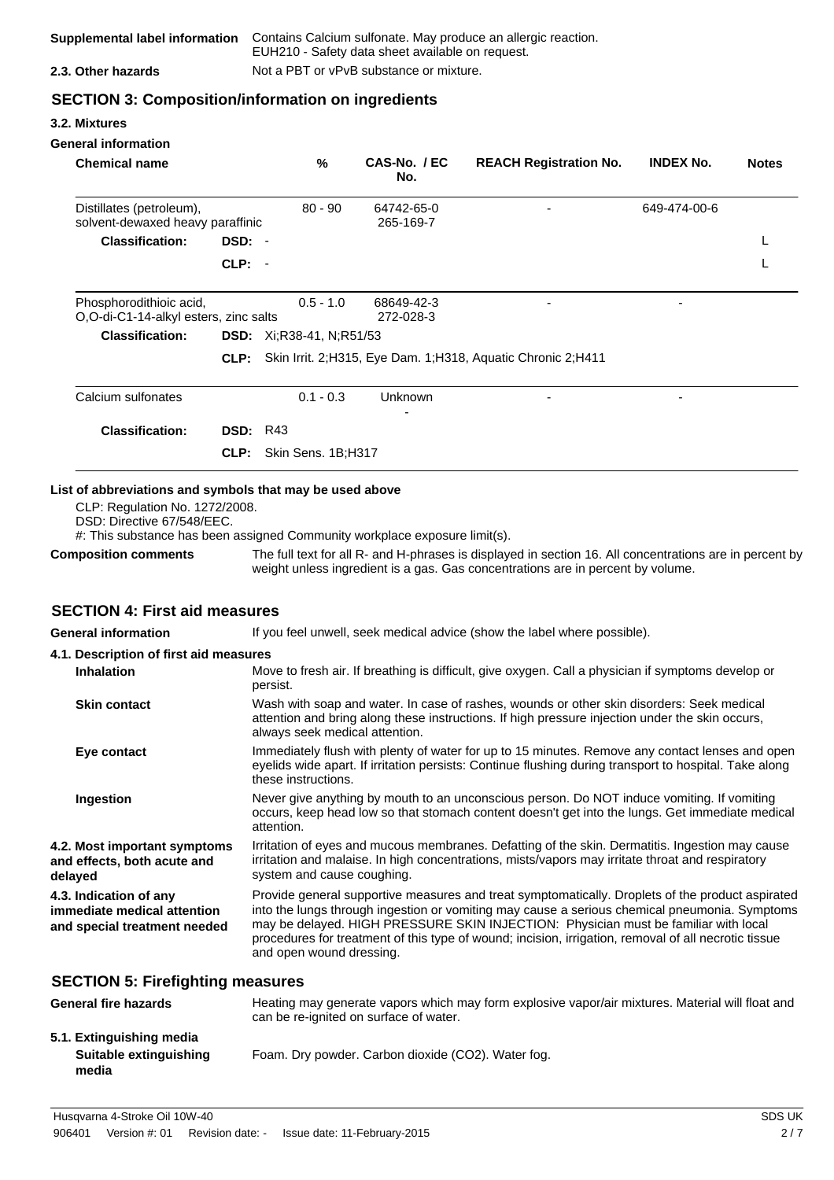| Supplemental label information | Contains Calcium sulfonate. May produce an allergic reaction.<br>EUH210 - Safety data sheet available on request. |
|--------------------------------|-------------------------------------------------------------------------------------------------------------------|
| 2.3. Other hazards             | Not a PBT or vPvB substance or mixture.                                                                           |

### **SECTION 3: Composition/information on ingredients**

#### **3.2. Mixtures**

| <b>General information</b>                                                                                                                                                                                                            |                 |                                    |                                |                                                                                                                                                                                                           |                  |              |
|---------------------------------------------------------------------------------------------------------------------------------------------------------------------------------------------------------------------------------------|-----------------|------------------------------------|--------------------------------|-----------------------------------------------------------------------------------------------------------------------------------------------------------------------------------------------------------|------------------|--------------|
| <b>Chemical name</b>                                                                                                                                                                                                                  |                 | %                                  | CAS-No. / EC<br>No.            | <b>REACH Registration No.</b>                                                                                                                                                                             | <b>INDEX No.</b> | <b>Notes</b> |
| Distillates (petroleum),<br>solvent-dewaxed heavy paraffinic                                                                                                                                                                          |                 | $80 - 90$                          | 64742-65-0<br>265-169-7        |                                                                                                                                                                                                           | 649-474-00-6     |              |
| <b>Classification:</b>                                                                                                                                                                                                                | DSD: -          |                                    |                                |                                                                                                                                                                                                           |                  | L            |
|                                                                                                                                                                                                                                       | CLP: -          |                                    |                                |                                                                                                                                                                                                           |                  | L            |
| Phosphorodithioic acid,<br>O,O-di-C1-14-alkyl esters, zinc salts                                                                                                                                                                      |                 | $0.5 - 1.0$                        | 68649-42-3<br>272-028-3        |                                                                                                                                                                                                           |                  |              |
| <b>Classification:</b>                                                                                                                                                                                                                |                 | <b>DSD:</b> $Xi:$ R38-41, N;R51/53 |                                |                                                                                                                                                                                                           |                  |              |
|                                                                                                                                                                                                                                       |                 |                                    |                                | CLP: Skin Irrit. 2;H315, Eye Dam. 1;H318, Aquatic Chronic 2;H411                                                                                                                                          |                  |              |
| Calcium sulfonates                                                                                                                                                                                                                    |                 | $0.1 - 0.3$                        | Unknown                        |                                                                                                                                                                                                           |                  |              |
| <b>Classification:</b>                                                                                                                                                                                                                | <b>DSD: R43</b> |                                    |                                |                                                                                                                                                                                                           |                  |              |
|                                                                                                                                                                                                                                       | CLP:            | Skin Sens. 1B;H317                 |                                |                                                                                                                                                                                                           |                  |              |
| List of abbreviations and symbols that may be used above<br>CLP: Regulation No. 1272/2008.<br>DSD: Directive 67/548/EEC.<br>#: This substance has been assigned Community workplace exposure limit(s).<br><b>Composition comments</b> |                 |                                    |                                | The full text for all R- and H-phrases is displayed in section 16. All concentrations are in percent by                                                                                                   |                  |              |
|                                                                                                                                                                                                                                       |                 |                                    |                                | weight unless ingredient is a gas. Gas concentrations are in percent by volume.                                                                                                                           |                  |              |
| <b>SECTION 4: First aid measures</b>                                                                                                                                                                                                  |                 |                                    |                                |                                                                                                                                                                                                           |                  |              |
| <b>General information</b>                                                                                                                                                                                                            |                 |                                    |                                | If you feel unwell, seek medical advice (show the label where possible).                                                                                                                                  |                  |              |
| 4.1. Description of first aid measures                                                                                                                                                                                                |                 |                                    |                                |                                                                                                                                                                                                           |                  |              |
| <b>Inhalation</b>                                                                                                                                                                                                                     |                 | persist.                           |                                | Move to fresh air. If breathing is difficult, give oxygen. Call a physician if symptoms develop or                                                                                                        |                  |              |
| <b>Skin contact</b>                                                                                                                                                                                                                   |                 |                                    | always seek medical attention. | Wash with soap and water. In case of rashes, wounds or other skin disorders: Seek medical<br>attention and bring along these instructions. If high pressure injection under the skin occurs,              |                  |              |
| Eye contact                                                                                                                                                                                                                           |                 | these instructions.                |                                | Immediately flush with plenty of water for up to 15 minutes. Remove any contact lenses and open<br>eyelids wide apart. If irritation persists: Continue flushing during transport to hospital. Take along |                  |              |
| Ingestion                                                                                                                                                                                                                             |                 | attention.                         |                                | Never give anything by mouth to an unconscious person. Do NOT induce vomiting. If vomiting<br>occurs, keep head low so that stomach content doesn't get into the lungs. Get immediate medical             |                  |              |

**4.2. Most important symptoms and effects, both acute and delayed** Irritation of eyes and mucous membranes. Defatting of the skin. Dermatitis. Ingestion may cause irritation and malaise. In high concentrations, mists/vapors may irritate throat and respiratory system and cause coughing.

**4.3. Indication of any immediate medical attention and special treatment needed** Provide general supportive measures and treat symptomatically. Droplets of the product aspirated into the lungs through ingestion or vomiting may cause a serious chemical pneumonia. Symptoms may be delayed. HIGH PRESSURE SKIN INJECTION: Physician must be familiar with local procedures for treatment of this type of wound; incision, irrigation, removal of all necrotic tissue and open wound dressing.

#### **SECTION 5: Firefighting measures**

| <b>General fire hazards</b>                                 | Heating may generate vapors which may form explosive vapor/air mixtures. Material will float and<br>can be re-ignited on surface of water. |
|-------------------------------------------------------------|--------------------------------------------------------------------------------------------------------------------------------------------|
| 5.1. Extinguishing media<br>Suitable extinguishing<br>media | Foam. Dry powder. Carbon dioxide (CO2). Water fog.                                                                                         |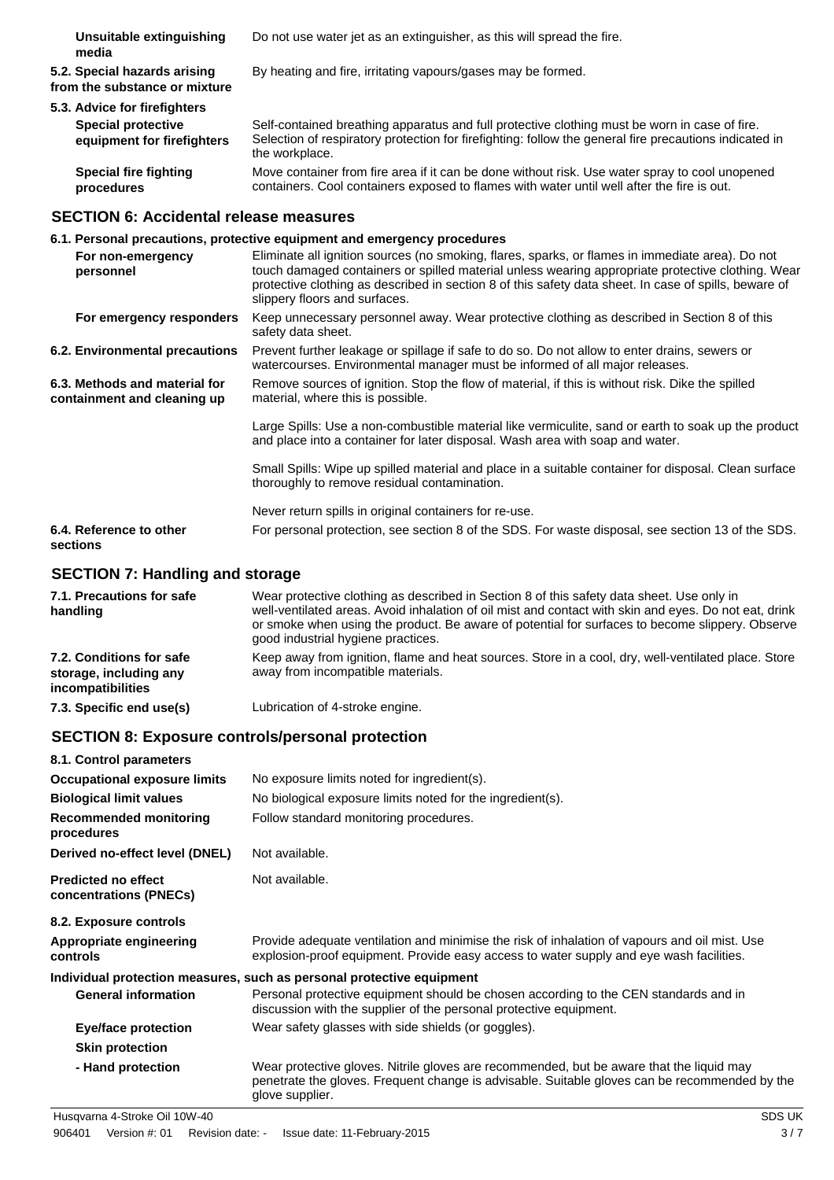**Unsuitable extinguishing media** Do not use water jet as an extinguisher, as this will spread the fire.

**5.2. Special hazards arising from the substance or mixture** By heating and fire, irritating vapours/gases may be formed.

### **5.3. Advice for firefighters Special protective**

**equipment for firefighters** Self-contained breathing apparatus and full protective clothing must be worn in case of fire. Selection of respiratory protection for firefighting: follow the general fire precautions indicated in the workplace.

**Special fire fighting procedures** Move container from fire area if it can be done without risk. Use water spray to cool unopened containers. Cool containers exposed to flames with water until well after the fire is out.

### **SECTION 6: Accidental release measures**

|                                                              | 6.1. Personal precautions, protective equipment and emergency procedures                                                                                                                                                                                                                                                                        |
|--------------------------------------------------------------|-------------------------------------------------------------------------------------------------------------------------------------------------------------------------------------------------------------------------------------------------------------------------------------------------------------------------------------------------|
| For non-emergency<br>personnel                               | Eliminate all ignition sources (no smoking, flares, sparks, or flames in immediate area). Do not<br>touch damaged containers or spilled material unless wearing appropriate protective clothing. Wear<br>protective clothing as described in section 8 of this safety data sheet. In case of spills, beware of<br>slippery floors and surfaces. |
| For emergency responders                                     | Keep unnecessary personnel away. Wear protective clothing as described in Section 8 of this<br>safety data sheet.                                                                                                                                                                                                                               |
| 6.2. Environmental precautions                               | Prevent further leakage or spillage if safe to do so. Do not allow to enter drains, sewers or<br>watercourses. Environmental manager must be informed of all major releases.                                                                                                                                                                    |
| 6.3. Methods and material for<br>containment and cleaning up | Remove sources of ignition. Stop the flow of material, if this is without risk. Dike the spilled<br>material, where this is possible.                                                                                                                                                                                                           |
|                                                              | Large Spills: Use a non-combustible material like vermiculite, sand or earth to soak up the product<br>and place into a container for later disposal. Wash area with soap and water.                                                                                                                                                            |
|                                                              | Small Spills: Wipe up spilled material and place in a suitable container for disposal. Clean surface<br>thoroughly to remove residual contamination.                                                                                                                                                                                            |
|                                                              | Never return spills in original containers for re-use.                                                                                                                                                                                                                                                                                          |
| 6.4. Reference to other<br>sections                          | For personal protection, see section 8 of the SDS. For waste disposal, see section 13 of the SDS.                                                                                                                                                                                                                                               |

### **SECTION 7: Handling and storage**

| 7.1. Precautions for safe<br>handling                                   | Wear protective clothing as described in Section 8 of this safety data sheet. Use only in<br>well-ventilated areas. Avoid inhalation of oil mist and contact with skin and eyes. Do not eat, drink<br>or smoke when using the product. Be aware of potential for surfaces to become slippery. Observe<br>good industrial hygiene practices. |
|-------------------------------------------------------------------------|---------------------------------------------------------------------------------------------------------------------------------------------------------------------------------------------------------------------------------------------------------------------------------------------------------------------------------------------|
| 7.2. Conditions for safe<br>storage, including any<br>incompatibilities | Keep away from ignition, flame and heat sources. Store in a cool, dry, well-ventilated place. Store<br>away from incompatible materials.                                                                                                                                                                                                    |
| 7.3. Specific end use(s)                                                | Lubrication of 4-stroke engine.                                                                                                                                                                                                                                                                                                             |

### **SECTION 8: Exposure controls/personal protection**

| 8.1. Control parameters                              |                                                                                                                                                                                                              |
|------------------------------------------------------|--------------------------------------------------------------------------------------------------------------------------------------------------------------------------------------------------------------|
| <b>Occupational exposure limits</b>                  | No exposure limits noted for ingredient(s).                                                                                                                                                                  |
| <b>Biological limit values</b>                       | No biological exposure limits noted for the ingredient(s).                                                                                                                                                   |
| <b>Recommended monitoring</b><br>procedures          | Follow standard monitoring procedures.                                                                                                                                                                       |
| Derived no-effect level (DNEL)                       | Not available.                                                                                                                                                                                               |
| <b>Predicted no effect</b><br>concentrations (PNECs) | Not available.                                                                                                                                                                                               |
| 8.2. Exposure controls                               |                                                                                                                                                                                                              |
| Appropriate engineering<br>controls                  | Provide adequate ventilation and minimise the risk of inhalation of vapours and oil mist. Use<br>explosion-proof equipment. Provide easy access to water supply and eye wash facilities.                     |
|                                                      | Individual protection measures, such as personal protective equipment                                                                                                                                        |
| <b>General information</b>                           | Personal protective equipment should be chosen according to the CEN standards and in<br>discussion with the supplier of the personal protective equipment.                                                   |
| <b>Eye/face protection</b>                           | Wear safety glasses with side shields (or goggles).                                                                                                                                                          |
| <b>Skin protection</b>                               |                                                                                                                                                                                                              |
| - Hand protection                                    | Wear protective gloves. Nitrile gloves are recommended, but be aware that the liquid may<br>penetrate the gloves. Frequent change is advisable. Suitable gloves can be recommended by the<br>glove supplier. |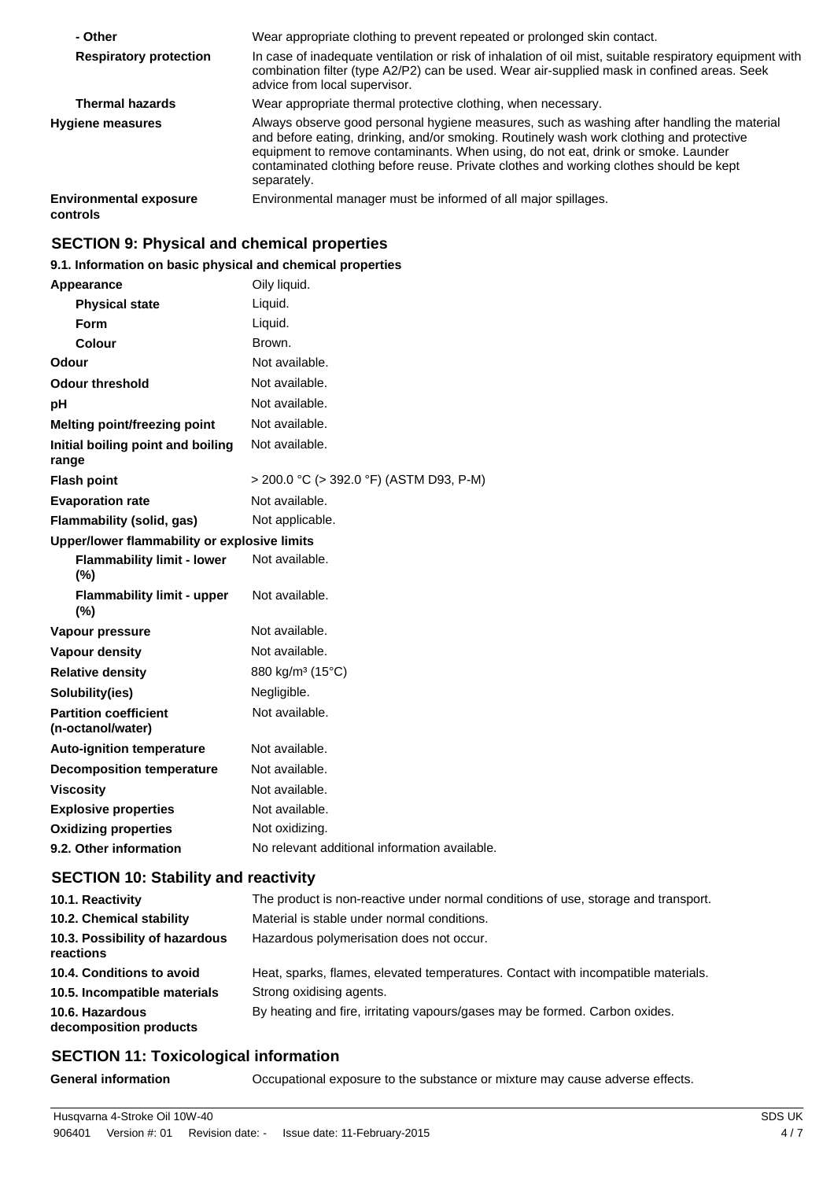| - Other                                   | Wear appropriate clothing to prevent repeated or prolonged skin contact.                                                                                                                                                                                                                                                                                                             |
|-------------------------------------------|--------------------------------------------------------------------------------------------------------------------------------------------------------------------------------------------------------------------------------------------------------------------------------------------------------------------------------------------------------------------------------------|
| <b>Respiratory protection</b>             | In case of inadequate ventilation or risk of inhalation of oil mist, suitable respiratory equipment with<br>combination filter (type A2/P2) can be used. Wear air-supplied mask in confined areas. Seek<br>advice from local supervisor.                                                                                                                                             |
| <b>Thermal hazards</b>                    | Wear appropriate thermal protective clothing, when necessary.                                                                                                                                                                                                                                                                                                                        |
| <b>Hygiene measures</b>                   | Always observe good personal hygiene measures, such as washing after handling the material<br>and before eating, drinking, and/or smoking. Routinely wash work clothing and protective<br>equipment to remove contaminants. When using, do not eat, drink or smoke. Launder<br>contaminated clothing before reuse. Private clothes and working clothes should be kept<br>separately. |
| <b>Environmental exposure</b><br>controls | Environmental manager must be informed of all major spillages.                                                                                                                                                                                                                                                                                                                       |

### **SECTION 9: Physical and chemical properties**

### **9.1. Information on basic physical and chemical properties**

| Appearance                                        | Oily liquid.                                  |
|---------------------------------------------------|-----------------------------------------------|
| <b>Physical state</b>                             | Liquid.                                       |
| Form                                              | Liquid.                                       |
| Colour                                            | Brown.                                        |
| Odour                                             | Not available.                                |
| <b>Odour threshold</b>                            | Not available.                                |
| рH                                                | Not available.                                |
| <b>Melting point/freezing point</b>               | Not available.                                |
| Initial boiling point and boiling<br>range        | Not available.                                |
| <b>Flash point</b>                                | > 200.0 °C (> 392.0 °F) (ASTM D93, P-M)       |
| <b>Evaporation rate</b>                           | Not available.                                |
| Flammability (solid, gas)                         | Not applicable.                               |
| Upper/lower flammability or explosive limits      |                                               |
| <b>Flammability limit - lower</b><br>$(\%)$       | Not available.                                |
| <b>Flammability limit - upper</b><br>$(\% )$      | Not available.                                |
| Vapour pressure                                   | Not available.                                |
| <b>Vapour density</b>                             | Not available.                                |
| <b>Relative density</b>                           | 880 kg/m <sup>3</sup> (15°C)                  |
| Solubility(ies)                                   | Negligible.                                   |
| <b>Partition coefficient</b><br>(n-octanol/water) | Not available.                                |
| <b>Auto-ignition temperature</b>                  | Not available.                                |
| <b>Decomposition temperature</b>                  | Not available.                                |
| <b>Viscosity</b>                                  | Not available.                                |
| <b>Explosive properties</b>                       | Not available.                                |
| <b>Oxidizing properties</b>                       | Not oxidizing.                                |
| 9.2. Other information                            | No relevant additional information available. |

### **SECTION 10: Stability and reactivity**

| 10.1. Reactivity                            | The product is non-reactive under normal conditions of use, storage and transport. |
|---------------------------------------------|------------------------------------------------------------------------------------|
| 10.2. Chemical stability                    | Material is stable under normal conditions.                                        |
| 10.3. Possibility of hazardous<br>reactions | Hazardous polymerisation does not occur.                                           |
| 10.4. Conditions to avoid                   | Heat, sparks, flames, elevated temperatures. Contact with incompatible materials.  |
| 10.5. Incompatible materials                | Strong oxidising agents.                                                           |
| 10.6. Hazardous<br>decomposition products   | By heating and fire, irritating vapours/gases may be formed. Carbon oxides.        |

### **SECTION 11: Toxicological information**

**General information** Occupational exposure to the substance or mixture may cause adverse effects.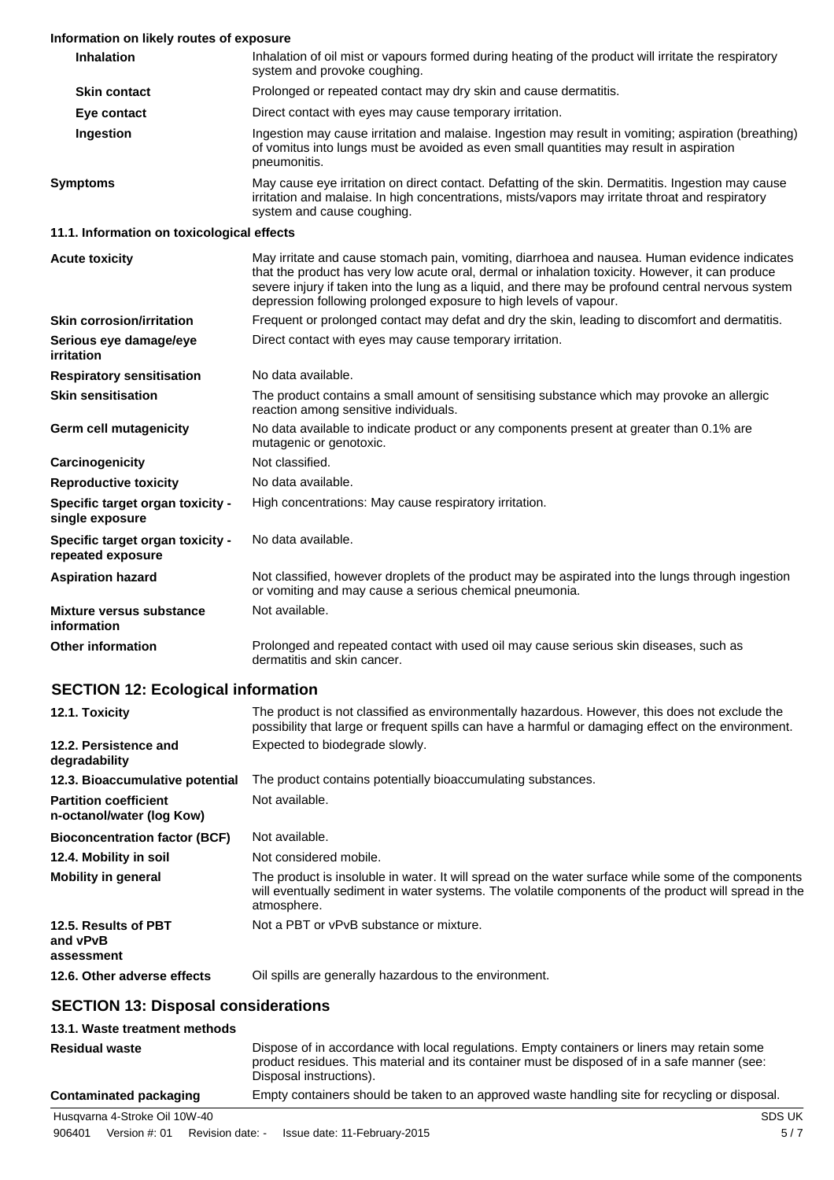| Information on likely routes of exposure                     |                                                                                                                                                                                                                                                                                                                                                                              |
|--------------------------------------------------------------|------------------------------------------------------------------------------------------------------------------------------------------------------------------------------------------------------------------------------------------------------------------------------------------------------------------------------------------------------------------------------|
| <b>Inhalation</b>                                            | Inhalation of oil mist or vapours formed during heating of the product will irritate the respiratory<br>system and provoke coughing.                                                                                                                                                                                                                                         |
| <b>Skin contact</b>                                          | Prolonged or repeated contact may dry skin and cause dermatitis.                                                                                                                                                                                                                                                                                                             |
| Eye contact                                                  | Direct contact with eyes may cause temporary irritation.                                                                                                                                                                                                                                                                                                                     |
| Ingestion                                                    | Ingestion may cause irritation and malaise. Ingestion may result in vomiting; aspiration (breathing)<br>of vomitus into lungs must be avoided as even small quantities may result in aspiration<br>pneumonitis.                                                                                                                                                              |
| <b>Symptoms</b>                                              | May cause eye irritation on direct contact. Defatting of the skin. Dermatitis. Ingestion may cause<br>irritation and malaise. In high concentrations, mists/vapors may irritate throat and respiratory<br>system and cause coughing.                                                                                                                                         |
| 11.1. Information on toxicological effects                   |                                                                                                                                                                                                                                                                                                                                                                              |
| <b>Acute toxicity</b>                                        | May irritate and cause stomach pain, vomiting, diarrhoea and nausea. Human evidence indicates<br>that the product has very low acute oral, dermal or inhalation toxicity. However, it can produce<br>severe injury if taken into the lung as a liquid, and there may be profound central nervous system<br>depression following prolonged exposure to high levels of vapour. |
| <b>Skin corrosion/irritation</b>                             | Frequent or prolonged contact may defat and dry the skin, leading to discomfort and dermatitis.                                                                                                                                                                                                                                                                              |
| Serious eye damage/eye<br><b>irritation</b>                  | Direct contact with eyes may cause temporary irritation.                                                                                                                                                                                                                                                                                                                     |
| <b>Respiratory sensitisation</b>                             | No data available.                                                                                                                                                                                                                                                                                                                                                           |
| <b>Skin sensitisation</b>                                    | The product contains a small amount of sensitising substance which may provoke an allergic<br>reaction among sensitive individuals.                                                                                                                                                                                                                                          |
| Germ cell mutagenicity                                       | No data available to indicate product or any components present at greater than 0.1% are<br>mutagenic or genotoxic.                                                                                                                                                                                                                                                          |
| Carcinogenicity                                              | Not classified.                                                                                                                                                                                                                                                                                                                                                              |
| <b>Reproductive toxicity</b>                                 | No data available.                                                                                                                                                                                                                                                                                                                                                           |
| Specific target organ toxicity -<br>single exposure          | High concentrations: May cause respiratory irritation.                                                                                                                                                                                                                                                                                                                       |
| <b>Specific target organ toxicity -</b><br>repeated exposure | No data available.                                                                                                                                                                                                                                                                                                                                                           |
| <b>Aspiration hazard</b>                                     | Not classified, however droplets of the product may be aspirated into the lungs through ingestion<br>or vomiting and may cause a serious chemical pneumonia.                                                                                                                                                                                                                 |
| <b>Mixture versus substance</b><br>information               | Not available.                                                                                                                                                                                                                                                                                                                                                               |
| <b>Other information</b>                                     | Prolonged and repeated contact with used oil may cause serious skin diseases, such as<br>dermatitis and skin cancer.                                                                                                                                                                                                                                                         |
| <b>SECTION 12: Ecological information</b>                    |                                                                                                                                                                                                                                                                                                                                                                              |
| 12.1. Toxicity                                               | The product is not classified as environmentally hazardous. However, this does not exclude the<br>possibility that large or frequent spills can have a harmful or damaging effect on the environment.                                                                                                                                                                        |
| 12.2. Persistence and                                        | Expected to biodegrade slowly.                                                                                                                                                                                                                                                                                                                                               |

| TZ.Z. FEI SISICHLE ANU<br>degradability                   | LADECIED TO DIOGRAPHED SIGNITY.                                                                                                                                                                                            |
|-----------------------------------------------------------|----------------------------------------------------------------------------------------------------------------------------------------------------------------------------------------------------------------------------|
| 12.3. Bioaccumulative potential                           | The product contains potentially bioaccumulating substances.                                                                                                                                                               |
| <b>Partition coefficient</b><br>n-octanol/water (log Kow) | Not available.                                                                                                                                                                                                             |
| <b>Bioconcentration factor (BCF)</b>                      | Not available.                                                                                                                                                                                                             |
| 12.4. Mobility in soil                                    | Not considered mobile.                                                                                                                                                                                                     |
| <b>Mobility in general</b>                                | The product is insoluble in water. It will spread on the water surface while some of the components<br>will eventually sediment in water systems. The volatile components of the product will spread in the<br>atmosphere. |
| 12.5. Results of PBT<br>and vPvB<br>assessment            | Not a PBT or vPvB substance or mixture.                                                                                                                                                                                    |
| 12.6. Other adverse effects                               | Oil spills are generally hazardous to the environment.                                                                                                                                                                     |

## **SECTION 13: Disposal considerations**

#### **13.1. Waste treatment methods**

| <b>Residual waste</b>         | Dispose of in accordance with local regulations. Empty containers or liners may retain some<br>product residues. This material and its container must be disposed of in a safe manner (see:<br>Disposal instructions). |
|-------------------------------|------------------------------------------------------------------------------------------------------------------------------------------------------------------------------------------------------------------------|
| Contaminated packaging        | Empty containers should be taken to an approved waste handling site for recycling or disposal.                                                                                                                         |
| Husgvarna 4-Stroke Oil 10W-40 | SDS UK                                                                                                                                                                                                                 |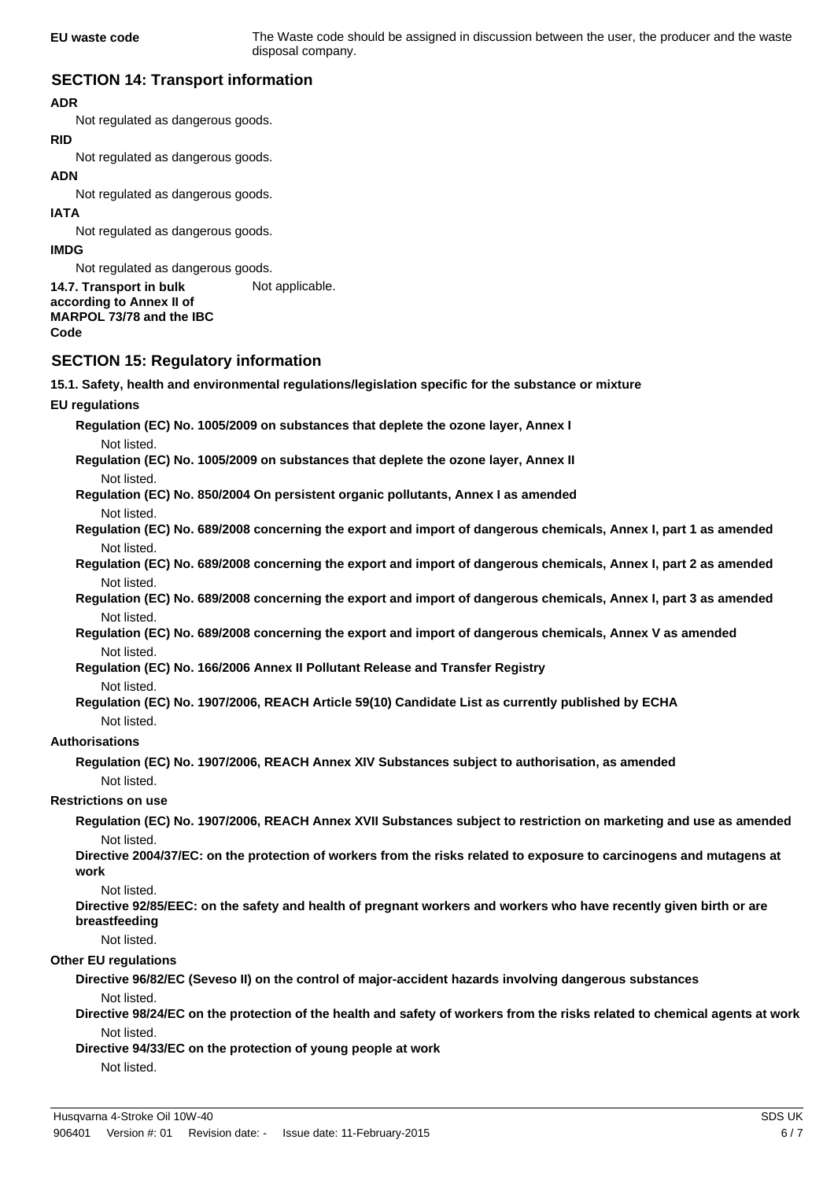**EU waste code** The Waste code should be assigned in discussion between the user, the producer and the waste disposal company.

### **SECTION 14: Transport information**

### **ADR**

Not regulated as dangerous goods.

# **RID**

Not regulated as dangerous goods.

### **ADN**

Not regulated as dangerous goods.

### **IATA**

Not regulated as dangerous goods.

### **IMDG**

Not regulated as dangerous goods.

#### **14.7. Transport in bulk** Not applicable. **according to Annex II of MARPOL 73/78 and the IBC Code**

### **SECTION 15: Regulatory information**

**15.1. Safety, health and environmental regulations/legislation specific for the substance or mixture**

### **EU regulations**

**Regulation (EC) No. 1005/2009 on substances that deplete the ozone layer, Annex I** Not listed.

**Regulation (EC) No. 1005/2009 on substances that deplete the ozone layer, Annex II** Not listed.

**Regulation (EC) No. 850/2004 On persistent organic pollutants, Annex I as amended**

### Not listed.

**Regulation (EC) No. 689/2008 concerning the export and import of dangerous chemicals, Annex I, part 1 as amended** Not listed.

**Regulation (EC) No. 689/2008 concerning the export and import of dangerous chemicals, Annex I, part 2 as amended** Not listed.

**Regulation (EC) No. 689/2008 concerning the export and import of dangerous chemicals, Annex I, part 3 as amended** Not listed.

**Regulation (EC) No. 689/2008 concerning the export and import of dangerous chemicals, Annex V as amended** Not listed.

**Regulation (EC) No. 166/2006 Annex II Pollutant Release and Transfer Registry**

### Not listed.

**Regulation (EC) No. 1907/2006, REACH Article 59(10) Candidate List as currently published by ECHA** Not listed.

### **Authorisations**

**Regulation (EC) No. 1907/2006, REACH Annex XIV Substances subject to authorisation, as amended** Not listed.

### **Restrictions on use**

**Regulation (EC) No. 1907/2006, REACH Annex XVII Substances subject to restriction on marketing and use as amended** Not listed.

**Directive 2004/37/EC: on the protection of workers from the risks related to exposure to carcinogens and mutagens at work**

#### Not listed.

**Directive 92/85/EEC: on the safety and health of pregnant workers and workers who have recently given birth or are breastfeeding**

#### Not listed.

#### **Other EU regulations**

**Directive 96/82/EC (Seveso II) on the control of major-accident hazards involving dangerous substances**

Not listed.

**Directive 98/24/EC on the protection of the health and safety of workers from the risks related to chemical agents at work** Not listed.

**Directive 94/33/EC on the protection of young people at work** Not listed.